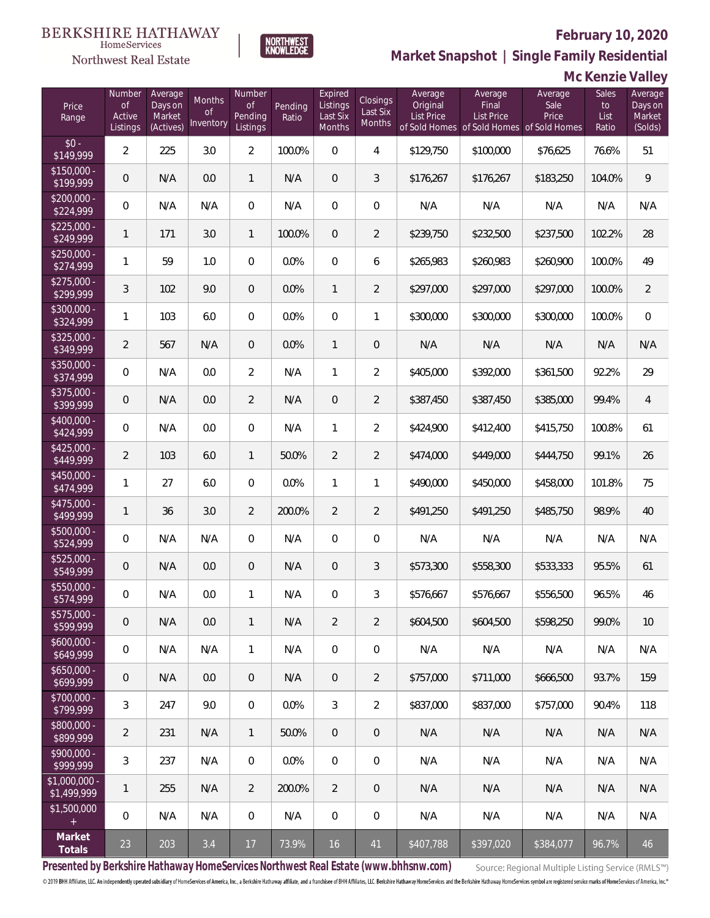

NORTHWEST<br>KNOWLEDGE

**Market Snapshot | Single Family Residential**

### $\label{lem:sevices} \textsc{Home} \textsc{Service} \textsc{s}$ Northwest Real Estate

|                              | Mc Kenzie Valley                          |                                           |                           |                                            |                  |                                           |                                |                                   |                                |                                                                       |                              |                                         |
|------------------------------|-------------------------------------------|-------------------------------------------|---------------------------|--------------------------------------------|------------------|-------------------------------------------|--------------------------------|-----------------------------------|--------------------------------|-----------------------------------------------------------------------|------------------------------|-----------------------------------------|
| Price<br>Range               | Number<br><b>of</b><br>Active<br>Listings | Average<br>Days on<br>Market<br>(Actives) | Months<br>0f<br>Inventory | Number<br><b>of</b><br>Pending<br>Listings | Pending<br>Ratio | Expired<br>Listings<br>Last Six<br>Months | Closings<br>Last Six<br>Months | Average<br>Original<br>List Price | Average<br>Final<br>List Price | Average<br>Sale<br>Price<br>of Sold Homes of Sold Homes of Sold Homes | Sales<br>to<br>List<br>Ratio | Average<br>Days on<br>Market<br>(Solds) |
| $$0 -$<br>\$149,999          | $\overline{2}$                            | 225                                       | 3.0                       | $\overline{a}$                             | 100.0%           | $\overline{0}$                            | $\overline{4}$                 | \$129,750                         | \$100,000                      | \$76,625                                                              | 76.6%                        | 51                                      |
| $$150,000 -$<br>\$199,999    | $\mathbb O$                               | N/A                                       | 0.0                       | $\mathbf{1}$                               | N/A              | $\overline{0}$                            | $\mathfrak{Z}$                 | \$176,267                         | \$176,267                      | \$183,250                                                             | 104.0%                       | 9                                       |
| $$200,000 -$<br>\$224,999    | $\,0\,$                                   | N/A                                       | N/A                       | $\boldsymbol{0}$                           | N/A              | $\overline{0}$                            | $\mathbf 0$                    | N/A                               | N/A                            | N/A                                                                   | N/A                          | N/A                                     |
| $$225,000 -$<br>\$249,999    | $\mathbf{1}$                              | 171                                       | 3.0                       | $\mathbf{1}$                               | 100.0%           | $\overline{0}$                            | $\overline{2}$                 | \$239,750                         | \$232,500                      | \$237,500                                                             | 102.2%                       | 28                                      |
| $$250,000 -$<br>\$274,999    | $\mathbf{1}$                              | 59                                        | 1.0                       | $\overline{0}$                             | 0.0%             | $\overline{0}$                            | 6                              | \$265,983                         | \$260,983                      | \$260,900                                                             | 100.0%                       | 49                                      |
| $$275,000 -$<br>\$299,999    | 3                                         | 102                                       | 9.0                       | $\boldsymbol{0}$                           | 0.0%             | $\mathbf{1}$                              | $\overline{2}$                 | \$297,000                         | \$297,000                      | \$297,000                                                             | 100.0%                       | $\overline{2}$                          |
| \$300,000 -<br>\$324,999     | $\mathbf{1}$                              | 103                                       | 6.0                       | $\boldsymbol{0}$                           | 0.0%             | $\boldsymbol{0}$                          | $\mathbf{1}$                   | \$300,000                         | \$300,000                      | \$300,000                                                             | 100.0%                       | $\mathbf 0$                             |
| \$325,000 -<br>\$349,999     | $\overline{2}$                            | 567                                       | N/A                       | 0                                          | 0.0%             | $\mathbf{1}$                              | $\mathbf 0$                    | N/A                               | N/A                            | N/A                                                                   | N/A                          | N/A                                     |
| \$350,000 -<br>\$374,999     | $\mathbb O$                               | N/A                                       | 0.0                       | $\overline{a}$                             | N/A              | 1                                         | $\overline{2}$                 | \$405,000                         | \$392,000                      | \$361,500                                                             | 92.2%                        | 29                                      |
| \$375,000 -<br>\$399,999     | $\mathbb O$                               | N/A                                       | 0.0                       | $\overline{2}$                             | N/A              | $\boldsymbol{0}$                          | $\overline{2}$                 | \$387,450                         | \$387,450                      | \$385,000                                                             | 99.4%                        | $\overline{4}$                          |
| \$400,000 -<br>\$424,999     | $\mathbb O$                               | N/A                                       | 0.0                       | 0                                          | N/A              | 1                                         | $\overline{2}$                 | \$424,900                         | \$412,400                      | \$415,750                                                             | 100.8%                       | 61                                      |
| $$425,000 -$<br>\$449,999    | $\overline{2}$                            | 103                                       | 6.0                       | $\mathbf{1}$                               | 50.0%            | $\overline{2}$                            | $\overline{2}$                 | \$474,000                         | \$449,000                      | \$444,750                                                             | 99.1%                        | 26                                      |
| \$450,000 -<br>\$474,999     | 1                                         | 27                                        | 6.0                       | $\overline{0}$                             | 0.0%             | 1                                         | 1                              | \$490,000                         | \$450,000                      | \$458,000                                                             | 101.8%                       | 75                                      |
| $$475,000 -$<br>\$499,999    | $\mathbf{1}$                              | 36                                        | 3.0                       | $\overline{2}$                             | 200.0%           | $\overline{2}$                            | $\overline{2}$                 | \$491,250                         | \$491,250                      | \$485,750                                                             | 98.9%                        | 40                                      |
| $$500,000 -$<br>\$524,999    | $\mathbb O$                               | N/A                                       | N/A                       | 0                                          | N/A              | 0                                         | $\mathbf 0$                    | N/A                               | N/A                            | N/A                                                                   | N/A                          | N/A                                     |
| $$525,000 -$<br>\$549,999    | $\mathbf 0$                               | N/A                                       | 0.0                       | 0                                          | N/A              | $\mathbf 0$                               | 3                              | \$573,300                         | \$558,300                      | \$533,333                                                             | 95.5%                        | 61                                      |
| \$550,000 -<br>\$574,999     | $\overline{0}$                            | N/A                                       | 0.0                       | $\mathbf{1}$                               | N/A              | $\mathbf{0}$                              | 3                              | \$576.667                         | \$576,667                      | \$556,500                                                             | 96.5%                        | 46                                      |
| \$575,000 -<br>\$599,999     | $\mathbb O$                               | N/A                                       | 0.0                       | $\mathbf{1}$                               | N/A              | $\overline{2}$                            | $\overline{2}$                 | \$604,500                         | \$604,500                      | \$598,250                                                             | 99.0%                        | 10                                      |
| $$600,000 -$<br>\$649,999    | $\overline{0}$                            | N/A                                       | N/A                       | $\mathbf{1}$                               | N/A              | $\overline{0}$                            | $\overline{0}$                 | N/A                               | N/A                            | N/A                                                                   | N/A                          | N/A                                     |
| $$650.000 -$<br>\$699,999    | $\overline{0}$                            | N/A                                       | 0.0                       | $\overline{0}$                             | N/A              | $\overline{0}$                            | $\overline{2}$                 | \$757,000                         | \$711,000                      | \$666,500                                                             | 93.7%                        | 159                                     |
| $$700,000 -$<br>\$799,999    | 3                                         | 247                                       | 9.0                       | $\boldsymbol{0}$                           | 0.0%             | 3                                         | $\overline{2}$                 | \$837,000                         | \$837,000                      | \$757,000                                                             | 90.4%                        | 118                                     |
| \$800,000 -<br>\$899,999     | $\overline{2}$                            | 231                                       | N/A                       | $\mathbf{1}$                               | 50.0%            | $\overline{0}$                            | $\overline{0}$                 | N/A                               | N/A                            | N/A                                                                   | N/A                          | N/A                                     |
| $$900,000 -$<br>\$999,999    | 3                                         | 237                                       | N/A                       | 0                                          | 0.0%             | $\overline{0}$                            | $\overline{0}$                 | N/A                               | N/A                            | N/A                                                                   | N/A                          | N/A                                     |
| \$1.000.000 -<br>\$1,499,999 | 1                                         | 255                                       | N/A                       | $\overline{2}$                             | 200.0%           | 2                                         | $\overline{0}$                 | N/A                               | N/A                            | N/A                                                                   | N/A                          | N/A                                     |
| \$1,500,000<br>$+$           | $\mathbf 0$                               | N/A                                       | N/A                       | $\boldsymbol{0}$                           | N/A              | $\mathbf 0$                               | $\overline{0}$                 | N/A                               | N/A                            | N/A                                                                   | N/A                          | N/A                                     |
| Market<br>Totals             | 23                                        | 203                                       | 3.4                       | 17                                         | 73.9%            | 16                                        | 41                             | \$407,788                         | \$397,020                      | \$384,077                                                             | 96.7%                        | 46                                      |

**Presented by Berkshire Hathaway HomeServices Northwest Real Estate (www.bhhsnw.com)**

Source: Regional Multiple Listing Service (RMLS™)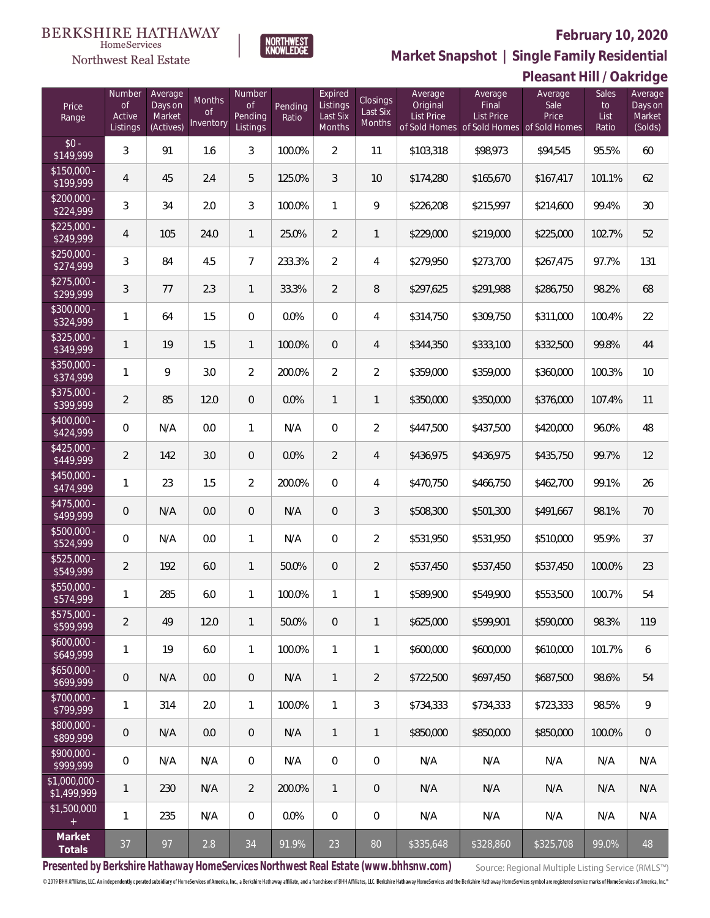

HomeServices

**Market Snapshot | Single Family Residential**

# **Pleasant Hill / Oakridge**

| Price<br>Range                   | Number<br>of<br>Active<br>Listings | Average<br>Days on<br>Market<br>(Actives) | Months<br>0f<br>Inventory | Number<br>Οf<br>Pending<br>Listings | Pending<br>Ratio | Expired<br>Listings<br>Last Six<br>Months | Closings<br>Last Six<br>Months | Average<br>Original<br><b>List Price</b> | Average<br>Final<br><b>List Price</b><br>of Sold Homes of Sold Homes of Sold Homes | Average<br>Sale<br>Price | <b>Sales</b><br>to<br>List<br>Ratio | Average<br>Days on<br>Market<br>(Solds) |
|----------------------------------|------------------------------------|-------------------------------------------|---------------------------|-------------------------------------|------------------|-------------------------------------------|--------------------------------|------------------------------------------|------------------------------------------------------------------------------------|--------------------------|-------------------------------------|-----------------------------------------|
| $$0 -$<br>\$149,999              | 3                                  | 91                                        | 1.6                       | $\mathfrak{Z}$                      | 100.0%           | $\overline{2}$                            | 11                             | \$103,318                                | \$98,973                                                                           | \$94,545                 | 95.5%                               | 60                                      |
| $$150,000 -$<br>\$199,999        | 4                                  | 45                                        | 2.4                       | 5                                   | 125.0%           | 3                                         | 10                             | \$174,280                                | \$165,670                                                                          | \$167,417                | 101.1%                              | 62                                      |
| $$200,000 -$<br>\$224,999        | 3                                  | 34                                        | 2.0                       | 3                                   | 100.0%           | $\mathbf{1}$                              | 9                              | \$226,208                                | \$215,997                                                                          | \$214,600                | 99.4%                               | 30                                      |
| $$225,000 -$<br>\$249,999        | 4                                  | 105                                       | 24.0                      | $\mathbf{1}$                        | 25.0%            | $\overline{2}$                            | 1                              | \$229,000                                | \$219,000                                                                          | \$225,000                | 102.7%                              | 52                                      |
| $$250.000 -$<br>\$274,999        | 3                                  | 84                                        | 4.5                       | $\overline{7}$                      | 233.3%           | $\overline{2}$                            | 4                              | \$279,950                                | \$273,700                                                                          | \$267,475                | 97.7%                               | 131                                     |
| $\sqrt{$275,000}$ -<br>\$299,999 | 3                                  | 77                                        | 2.3                       | $\mathbf{1}$                        | 33.3%            | $\overline{2}$                            | 8                              | \$297,625                                | \$291,988                                                                          | \$286,750                | 98.2%                               | 68                                      |
| $$300,000 -$<br>\$324,999        | 1                                  | 64                                        | 1.5                       | $\mathbf{0}$                        | 0.0%             | $\mathbf{0}$                              | 4                              | \$314,750                                | \$309,750                                                                          | \$311,000                | 100.4%                              | 22                                      |
| $$325,000 -$<br>\$349,999        | 1                                  | 19                                        | 1.5                       | $\mathbf{1}$                        | 100.0%           | $\overline{0}$                            | 4                              | \$344,350                                | \$333,100                                                                          | \$332,500                | 99.8%                               | 44                                      |
| $$350,000 -$<br>\$374,999        | 1                                  | 9                                         | 3.0                       | $\overline{2}$                      | 200.0%           | $\overline{2}$                            | $\overline{2}$                 | \$359,000                                | \$359,000                                                                          | \$360,000                | 100.3%                              | 10                                      |
| $$375,000 -$<br>\$399,999        | 2                                  | 85                                        | 12.0                      | $\overline{0}$                      | 0.0%             | $\mathbf{1}$                              | 1                              | \$350,000                                | \$350,000                                                                          | \$376,000                | 107.4%                              | 11                                      |
| $$400.000 -$<br>\$424,999        | $\mathbf 0$                        | N/A                                       | 0.0                       | $\mathbf{1}$                        | N/A              | $\boldsymbol{0}$                          | $\overline{2}$                 | \$447,500                                | \$437,500                                                                          | \$420,000                | 96.0%                               | 48                                      |
| $$425,000 -$<br>\$449,999        | $\overline{2}$                     | 142                                       | 3.0                       | $\theta$                            | 0.0%             | $\overline{2}$                            | 4                              | \$436,975                                | \$436,975                                                                          | \$435,750                | 99.7%                               | 12                                      |
| $$450,000 -$<br>\$474,999        | 1                                  | 23                                        | 1.5                       | $\overline{2}$                      | 200.0%           | 0                                         | 4                              | \$470,750                                | \$466,750                                                                          | \$462,700                | 99.1%                               | 26                                      |
| $$475,000 -$<br>\$499,999        | $\overline{0}$                     | N/A                                       | 0.0                       | $\overline{0}$                      | N/A              | $\mathbf 0$                               | 3                              | \$508,300                                | \$501,300                                                                          | \$491,667                | 98.1%                               | 70                                      |
| $$500,000 -$<br>\$524,999        | $\mathbf 0$                        | N/A                                       | 0.0                       | $\mathbf{1}$                        | N/A              | 0                                         | $\overline{2}$                 | \$531,950                                | \$531,950                                                                          | \$510,000                | 95.9%                               | 37                                      |
| $$525,000 -$<br>\$549,999        | 2                                  | 192                                       | 6.0                       | 1                                   | 50.0%            | 0                                         | $\overline{2}$                 | \$537,450                                | \$537,450                                                                          | \$537,450                | 100.0%                              | 23                                      |
| \$550,000 -<br>\$574,999         | 1                                  | 285                                       | 6.0                       | 1                                   | 100.0%           | 1                                         | 1                              | \$589,900                                | \$549,900                                                                          | \$553,500                | 100.7%                              | 54                                      |
| $$575,000 -$<br>\$599,999        | $\overline{2}$                     | 49                                        | 12.0                      | $\mathbf{1}$                        | 50.0%            | $\overline{0}$                            | 1                              | \$625,000                                | \$599,901                                                                          | \$590,000                | 98.3%                               | 119                                     |
| $$600,000 -$<br>\$649,999        | 1                                  | 19                                        | 6.0                       | $\mathbf{1}$                        | 100.0%           | $\mathbf{1}$                              | 1                              | \$600,000                                | \$600,000                                                                          | \$610,000                | 101.7%                              | 6                                       |
| $$650,000 -$<br>\$699,999        | $\mathbf 0$                        | N/A                                       | 0.0                       | $\overline{0}$                      | N/A              | $\mathbf{1}$                              | $\overline{2}$                 | \$722,500                                | \$697,450                                                                          | \$687,500                | 98.6%                               | 54                                      |
| $$700,000 -$<br>\$799,999        | 1                                  | 314                                       | 2.0                       | $\mathbf{1}$                        | 100.0%           | $\mathbf{1}$                              | 3                              | \$734,333                                | \$734,333                                                                          | \$723,333                | 98.5%                               | 9                                       |
| $$800,000 -$<br>\$899,999        | $\overline{0}$                     | N/A                                       | 0.0                       | $\overline{0}$                      | N/A              | $\mathbf{1}$                              | $\mathbf{1}$                   | \$850,000                                | \$850,000                                                                          | \$850,000                | 100.0%                              | 0                                       |
| $$900,000 -$<br>\$999,999        | $\mathbf 0$                        | N/A                                       | N/A                       | $\mathbf{0}$                        | N/A              | $\overline{0}$                            | $\mathbf 0$                    | N/A                                      | N/A                                                                                | N/A                      | N/A                                 | N/A                                     |
| $$1,000,000 -$<br>\$1,499,999    | 1                                  | 230                                       | N/A                       | 2                                   | 200.0%           | $\mathbf{1}$                              | $\overline{0}$                 | N/A                                      | N/A                                                                                | N/A                      | N/A                                 | N/A                                     |
| \$1,500,000<br>$+$               | 1                                  | 235                                       | N/A                       | $\mathbf 0$                         | 0.0%             | $\boldsymbol{0}$                          | 0                              | N/A                                      | N/A                                                                                | N/A                      | N/A                                 | N/A                                     |
| Market<br>Totals                 | 37                                 | 97                                        | 2.8                       | 34                                  | 91.9%            | 23                                        | 80                             | \$335,648                                | \$328,860                                                                          | \$325,708                | 99.0%                               | 48                                      |

**Presented by Berkshire Hathaway HomeServices Northwest Real Estate (www.bhhsnw.com)**

Source: Regional Multiple Listing Service (RMLS™)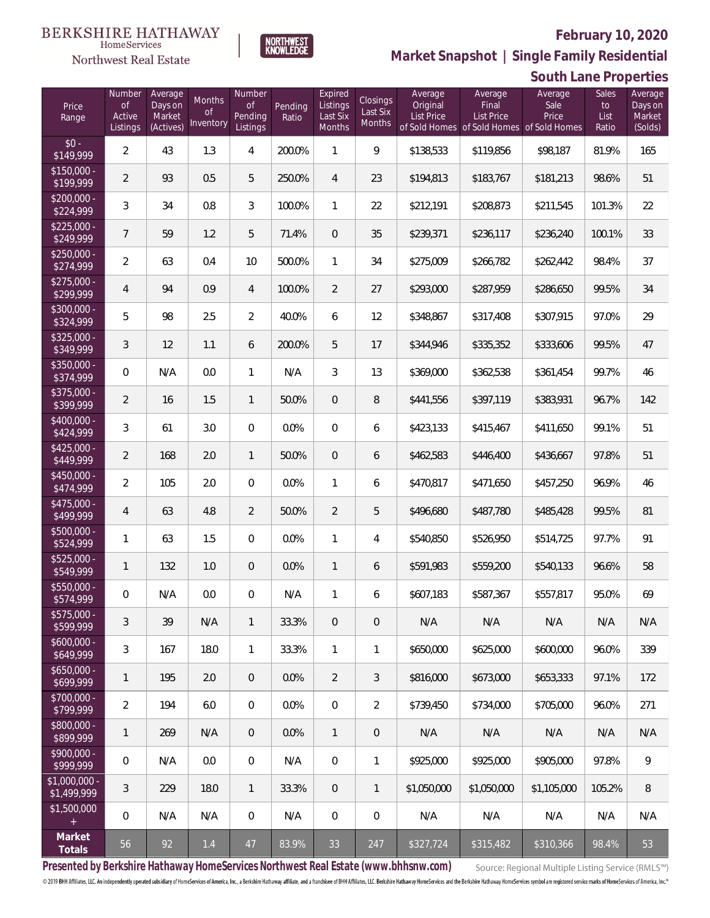

**NORTHWEST**<br>KNOWLEDGE

Northwest Real Estate

**Market Snapshot | Single Family Residential**

|                                 | South Lane Properties                     |                                           |                           |                                     |                  |                                           |                                |                                   |                                                                                    |                          |                              |                                         |
|---------------------------------|-------------------------------------------|-------------------------------------------|---------------------------|-------------------------------------|------------------|-------------------------------------------|--------------------------------|-----------------------------------|------------------------------------------------------------------------------------|--------------------------|------------------------------|-----------------------------------------|
| Price<br>Range                  | Number<br><b>of</b><br>Active<br>Listings | Average<br>Days on<br>Market<br>(Actives) | Months<br>Οf<br>Inventory | Number<br>0f<br>Pending<br>Listings | Pending<br>Ratio | Expired<br>Listings<br>Last Six<br>Months | Closings<br>Last Six<br>Months | Average<br>Original<br>List Price | Average<br>Final<br><b>List Price</b><br>of Sold Homes of Sold Homes of Sold Homes | Average<br>Sale<br>Price | Sales<br>to<br>List<br>Ratio | Average<br>Days on<br>Market<br>(Solds) |
| $$0 -$<br>\$149,999             | $\overline{2}$                            | 43                                        | 1.3                       | 4                                   | 200.0%           | $\mathbf{1}$                              | 9                              | \$138,533                         | \$119,856                                                                          | \$98,187                 | 81.9%                        | 165                                     |
| $$150,000 -$<br>\$199,999       | $\overline{2}$                            | 93                                        | 0.5                       | 5                                   | 250.0%           | $\overline{4}$                            | 23                             | \$194,813                         | \$183,767                                                                          | \$181,213                | 98.6%                        | 51                                      |
| $$200,000 -$<br>\$224,999       | 3                                         | 34                                        | 0.8                       | 3                                   | 100.0%           | 1                                         | 22                             | \$212,191                         | \$208,873                                                                          | \$211,545                | 101.3%                       | 22                                      |
| $$225,000 -$<br>\$249,999       | $\overline{7}$                            | 59                                        | 1.2                       | 5                                   | 71.4%            | $\mathbf 0$                               | 35                             | \$239,371                         | \$236,117                                                                          | \$236,240                | 100.1%                       | 33                                      |
| $$250,000 -$<br>\$274,999       | $\overline{2}$                            | 63                                        | 0.4                       | 10                                  | 500.0%           | 1                                         | 34                             | \$275,009                         | \$266,782                                                                          | \$262,442                | 98.4%                        | 37                                      |
| $$275,000 -$<br>\$299,999       | $\overline{4}$                            | 94                                        | 0.9                       | $\overline{4}$                      | 100.0%           | $\overline{2}$                            | 27                             | \$293,000                         | \$287,959                                                                          | \$286,650                | 99.5%                        | 34                                      |
| $$300,000 -$<br>\$324,999       | 5                                         | 98                                        | 2.5                       | $\overline{2}$                      | 40.0%            | 6                                         | 12                             | \$348,867                         | \$317,408                                                                          | \$307,915                | 97.0%                        | 29                                      |
| $$325,000 -$<br>\$349,999       | 3                                         | 12                                        | 1.1                       | 6                                   | 200.0%           | 5                                         | 17                             | \$344,946                         | \$335,352                                                                          | \$333,606                | 99.5%                        | 47                                      |
| $$350,000 -$<br>\$374,999       | $\mathbf 0$                               | N/A                                       | 0.0                       | 1                                   | N/A              | 3                                         | 13                             | \$369,000                         | \$362,538                                                                          | \$361,454                | 99.7%                        | 46                                      |
| $$375,000 -$<br>\$399,999       | $\overline{2}$                            | 16                                        | 1.5                       | $\mathbf{1}$                        | 50.0%            | $\mathbf 0$                               | 8                              | \$441,556                         | \$397,119                                                                          | \$383,931                | 96.7%                        | 142                                     |
| $$400,000 -$<br>\$424,999       | 3                                         | 61                                        | 3.0                       | 0                                   | 0.0%             | 0                                         | 6                              | \$423,133                         | \$415,467                                                                          | \$411,650                | 99.1%                        | 51                                      |
| $$425,000 -$<br>\$449,999       | $\overline{2}$                            | 168                                       | 2.0                       | 1                                   | 50.0%            | $\mathbf 0$                               | 6                              | \$462,583                         | \$446,400                                                                          | \$436,667                | 97.8%                        | 51                                      |
| $$450,000 -$<br>\$474,999       | $\overline{2}$                            | 105                                       | 2.0                       | 0                                   | 0.0%             | 1                                         | 6                              | \$470,817                         | \$471,650                                                                          | \$457,250                | 96.9%                        | 46                                      |
| $$475,000 -$<br>\$499,999       | $\overline{4}$                            | 63                                        | 4.8                       | 2                                   | 50.0%            | $\overline{2}$                            | 5                              | \$496,680                         | \$487,780                                                                          | \$485,428                | 99.5%                        | 81                                      |
| $$500,000 -$<br>\$524,999       | 1                                         | 63                                        | 1.5                       | 0                                   | 0.0%             | 1                                         | 4                              | \$540,850                         | \$526,950                                                                          | \$514,725                | 97.7%                        | 91                                      |
| $$525,000 -$<br>\$549,999       | 1                                         | 132                                       | 1.0                       | 0                                   | 0.0%             | $\mathbf{1}$                              | 6                              | \$591,983                         | \$559,200                                                                          | \$540,133                | 96.6%                        | 58                                      |
| \$550,000 -<br>\$574,999        | 0                                         | N/A                                       | 0.0                       | $\mathbf{0}$                        | N/A              | 1                                         | 6                              | \$607,183                         | \$587,367                                                                          | \$557,817                | 95.0%                        | 69                                      |
| $$575,000 -$<br>\$599,999       | 3                                         | 39                                        | N/A                       | $\mathbf{1}$                        | 33.3%            | 0                                         | $\theta$                       | N/A                               | N/A                                                                                | N/A                      | N/A                          | N/A                                     |
| $$600,000 -$<br>\$649,999       | 3                                         | 167                                       | 18.0                      | 1                                   | 33.3%            | 1                                         | 1                              | \$650,000                         | \$625,000                                                                          | \$600,000                | 96.0%                        | 339                                     |
| $$650,000 -$<br>\$699,999       | 1                                         | 195                                       | 2.0                       | $\overline{0}$                      | 0.0%             | $\overline{2}$                            | 3                              | \$816,000                         | \$673,000                                                                          | \$653,333                | 97.1%                        | 172                                     |
| $$700.000 -$<br>\$799,999       | $\overline{2}$                            | 194                                       | 6.0                       | $\overline{0}$                      | 0.0%             | 0                                         | $\overline{2}$                 | \$739,450                         | \$734,000                                                                          | \$705,000                | 96.0%                        | 271                                     |
| \$800,000 -<br>\$899,999        | 1                                         | 269                                       | N/A                       | $\overline{0}$                      | 0.0%             | $\mathbf{1}$                              | $\theta$                       | N/A                               | N/A                                                                                | N/A                      | N/A                          | N/A                                     |
| $$900,000 -$<br>\$999,999       | $\mathbf{0}$                              | N/A                                       | 0.0                       | $\overline{0}$                      | N/A              | 0                                         | 1                              | \$925,000                         | \$925,000                                                                          | \$905,000                | 97.8%                        | 9                                       |
| $$1,000,000 -$<br>\$1,499,999   | 3                                         | 229                                       | 18.0                      | $\mathbf{1}$                        | 33.3%            | 0                                         | 1                              | \$1,050,000                       | \$1,050,000                                                                        | \$1,105,000              | 105.2%                       | 8                                       |
| \$1,500,000<br>$\boldsymbol{+}$ | $\mathbf{0}$                              | N/A                                       | N/A                       | $\overline{0}$                      | N/A              | 0                                         | 0                              | N/A                               | N/A                                                                                | N/A                      | N/A                          | N/A                                     |
| Market<br>Totals                | 56                                        | 92                                        | 1.4                       | 47                                  | 83.9%            | 33                                        | 247                            | \$327,724                         | \$315,482                                                                          | \$310,366                | 98.4%                        | 53                                      |

**Presented by Berkshire Hathaway HomeServices Northwest Real Estate (www.bhhsnw.com)**

Source: Regional Multiple Listing Service (RMLS™)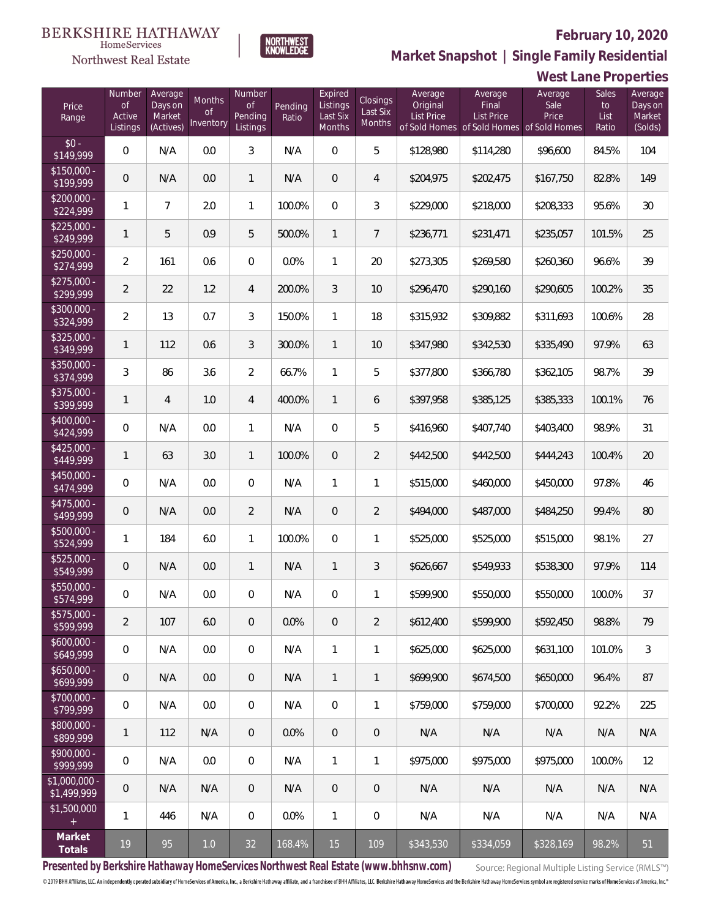

NORTHWEST<br>KNOWLEDGE

**Market Snapshot | Single Family Residential**

|                                                                          |                                    |                                           |                                  |                                     |                  |                                           |                                |                                          |                                | <b>West Lane Properties</b>                                           |                              |                                         |
|--------------------------------------------------------------------------|------------------------------------|-------------------------------------------|----------------------------------|-------------------------------------|------------------|-------------------------------------------|--------------------------------|------------------------------------------|--------------------------------|-----------------------------------------------------------------------|------------------------------|-----------------------------------------|
| Price<br>Range                                                           | Number<br>Οf<br>Active<br>Listings | Average<br>Days on<br>Market<br>(Actives) | Months<br><b>of</b><br>Inventory | Number<br>Οf<br>Pending<br>Listings | Pending<br>Ratio | Expired<br>Listings<br>Last Six<br>Months | Closings<br>Last Six<br>Months | Average<br>Original<br><b>List Price</b> | Average<br>Final<br>List Price | Average<br>Sale<br>Price<br>of Sold Homes of Sold Homes of Sold Homes | Sales<br>to<br>List<br>Ratio | Average<br>Days on<br>Market<br>(Solds) |
| $$0 -$<br>\$149,999                                                      | $\overline{0}$                     | N/A                                       | 0.0                              | $\mathfrak{Z}$                      | N/A              | $\overline{0}$                            | 5                              | \$128,980                                | \$114,280                      | \$96,600                                                              | 84.5%                        | 104                                     |
| $$150,000 -$<br>\$199,999                                                | $\overline{0}$                     | N/A                                       | 0.0                              | $\mathbf{1}$                        | N/A              | $\mathbf 0$                               | $\overline{4}$                 | \$204,975                                | \$202,475                      | \$167,750                                                             | 82.8%                        | 149                                     |
| $$200,000 -$<br>\$224,999                                                | 1                                  | $\overline{7}$                            | 2.0                              | $\mathbf{1}$                        | 100.0%           | $\overline{0}$                            | 3                              | \$229,000                                | \$218,000                      | \$208,333                                                             | 95.6%                        | 30                                      |
| $$225,000 -$<br>\$249,999                                                | 1                                  | 5                                         | 0.9                              | 5                                   | 500.0%           | $\mathbf{1}$                              | 7                              | \$236,771                                | \$231,471                      | \$235,057                                                             | 101.5%                       | 25                                      |
| $$250.000 -$<br>\$274,999                                                | $\overline{2}$                     | 161                                       | 0.6                              | $\overline{0}$                      | 0.0%             | 1                                         | 20                             | \$273,305                                | \$269,580                      | \$260,360                                                             | 96.6%                        | 39                                      |
| $$275,000 -$<br>\$299,999                                                | $\overline{2}$                     | 22                                        | 1.2                              | $\overline{4}$                      | 200.0%           | 3                                         | 10                             | \$296,470                                | \$290,160                      | \$290,605                                                             | 100.2%                       | 35                                      |
| $$300.000 -$<br>\$324,999                                                | $\overline{2}$                     | 13                                        | 0.7                              | $\mathfrak{Z}$                      | 150.0%           | $\mathbf{1}$                              | 18                             | \$315,932                                | \$309,882                      | \$311,693                                                             | 100.6%                       | 28                                      |
| $$325,000 -$<br>\$349,999                                                | 1                                  | 112                                       | 0.6                              | $\mathfrak{Z}$                      | 300.0%           | $\mathbf{1}$                              | 10                             | \$347,980                                | \$342,530                      | \$335,490                                                             | 97.9%                        | 63                                      |
| $$350.000 -$<br>\$374,999                                                | 3                                  | 86                                        | 3.6                              | $\overline{2}$                      | 66.7%            | 1                                         | 5                              | \$377,800                                | \$366,780                      | \$362,105                                                             | 98.7%                        | 39                                      |
| \$375,000 -<br>\$399,999                                                 | 1                                  | $\overline{4}$                            | 1.0                              | $\overline{4}$                      | 400.0%           | $\mathbf{1}$                              | 6                              | \$397,958                                | \$385,125                      | \$385,333                                                             | 100.1%                       | 76                                      |
| $$400.000 -$<br>\$424,999                                                | $\overline{0}$                     | N/A                                       | 0.0                              | $\mathbf{1}$                        | N/A              | $\overline{0}$                            | 5                              | \$416,960                                | \$407,740                      | \$403,400                                                             | 98.9%                        | 31                                      |
| $$425,000 -$<br>\$449,999                                                | $\mathbf{1}$                       | 63                                        | 3.0                              | $\mathbf{1}$                        | 100.0%           | $\mathbf 0$                               | $\overline{2}$                 | \$442,500                                | \$442,500                      | \$444,243                                                             | 100.4%                       | 20                                      |
| \$450,000 -<br>\$474,999                                                 | $\mathbf 0$                        | N/A                                       | $0.0\,$                          | $\boldsymbol{0}$                    | N/A              | 1                                         | 1                              | \$515,000                                | \$460,000                      | \$450,000                                                             | 97.8%                        | 46                                      |
| \$475,000 -<br>\$499,999                                                 | $\overline{0}$                     | N/A                                       | 0.0                              | $\overline{2}$                      | N/A              | $\mathbf 0$                               | $\overline{2}$                 | \$494,000                                | \$487,000                      | \$484,250                                                             | 99.4%                        | 80                                      |
| \$500,000 -<br>\$524,999                                                 | $\mathbf{1}$                       | 184                                       | 6.0                              | $\mathbf{1}$                        | 100.0%           | $\mathbf 0$                               | 1                              | \$525,000                                | \$525,000                      | \$515,000                                                             | 98.1%                        | 27                                      |
| \$525,000 -<br>\$549,999                                                 | $\overline{0}$                     | N/A                                       | 0.0                              | $\mathbf{1}$                        | N/A              | 1                                         | 3                              | \$626,667                                | \$549,933                      | \$538,300                                                             | 97.9%                        | 114                                     |
| \$550,000 -<br>\$574,999                                                 | $\mathbf{0}$                       | N/A                                       | 0.0                              | $\overline{0}$                      | N/A              | $\overline{0}$                            | 1                              | \$599,900                                | \$550,000                      | \$550,000                                                             | 100.0%                       | 37                                      |
| $$575.000 -$<br>\$599,999                                                | 2                                  | 107                                       | 6.0                              | $\overline{0}$                      | 0.0%             | $\overline{0}$                            | $\overline{2}$                 | \$612,400                                | \$599,900                      | \$592,450                                                             | 98.8%                        | 79                                      |
| $$600,000 -$<br>\$649,999                                                | $\overline{0}$                     | N/A                                       | 0.0                              | $\boldsymbol{0}$                    | N/A              | 1                                         | 1                              | \$625,000                                | \$625,000                      | \$631,100                                                             | 101.0%                       | 3                                       |
| $$650,000 -$<br>\$699,999                                                | $\overline{0}$                     | N/A                                       | 0.0                              | $\overline{0}$                      | N/A              | $\mathbf{1}$                              | 1                              | \$699.900                                | \$674,500                      | \$650,000                                                             | 96.4%                        | 87                                      |
| \$700,000 -<br>\$799,999                                                 | $\overline{0}$                     | N/A                                       | 0.0                              | 0                                   | N/A              | $\mathbf 0$                               | 1                              | \$759,000                                | \$759,000                      | \$700,000                                                             | 92.2%                        | 225                                     |
| \$800,000 -<br>\$899,999                                                 | $\mathbf{1}$                       | 112                                       | N/A                              | $\overline{0}$                      | 0.0%             | $\overline{0}$                            | $\mathbf{0}$                   | N/A                                      | N/A                            | N/A                                                                   | N/A                          | N/A                                     |
| \$900,000 -<br>\$999,999                                                 | $\overline{0}$                     | N/A                                       | 0.0                              | $\boldsymbol{0}$                    | N/A              | $\mathbf{1}$                              | 1                              | \$975,000                                | \$975,000                      | \$975,000                                                             | 100.0%                       | 12                                      |
| $$1,000,000 -$<br>\$1,499,999                                            | $\overline{0}$                     | N/A                                       | N/A                              | $\overline{0}$                      | N/A              | $\overline{0}$                            | $\mathbf 0$                    | N/A                                      | N/A                            | N/A                                                                   | N/A                          | N/A                                     |
| \$1,500,000<br>$\ddot{}$                                                 | $\mathbf{1}$                       | 446                                       | N/A                              | $\boldsymbol{0}$                    | 0.0%             | $\mathbf{1}$                              | $\mathbf 0$                    | N/A                                      | N/A                            | N/A                                                                   | N/A                          | N/A                                     |
| Market<br><b>Totals</b>                                                  | 19                                 | 95                                        | 1.0                              | 32                                  | 168.4%           | 15                                        | 109                            | \$343,530                                | \$334,059                      | \$328,169                                                             | 98.2%                        | 51                                      |
| Procented by Perkebira Usthoway Nemeconylees Northwest Deel Estate (www. |                                    |                                           |                                  |                                     |                  |                                           |                                |                                          |                                |                                                                       |                              |                                         |

**Presented by Berkshire Hathaway HomeServices Northwest Real Estate (www.bhhsnw.com)**

Source: Regional Multiple Listing Service (RMLS™)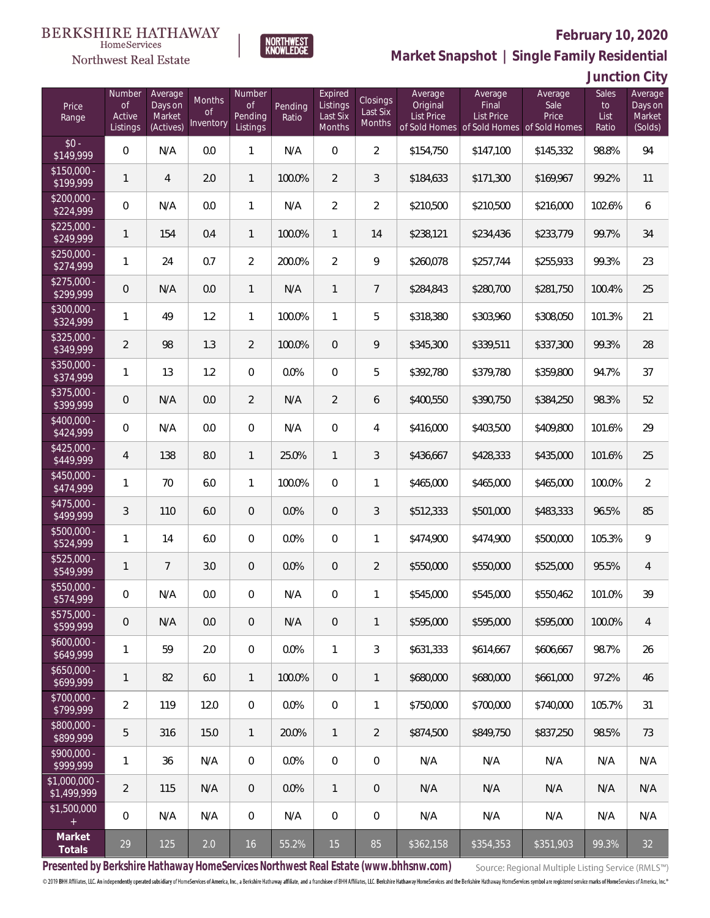### **BERKSHIRE HATHAWAY** HomeServices



## **February 10, 2020**

**Market Snapshot | Single Family Residential**

## **Junction City**

| Price<br>Range                   | Number<br><b>of</b><br>Active<br>Listings | Average<br>Days on<br>Market<br>(Actives) | Months<br>Οf<br>Inventory | Number<br>Οf<br>Pending<br>Listings | Pending<br>Ratio | Expired<br>Listings<br>Last Six<br>Months | <b>Closings</b><br>Last Six<br>Months | Average<br>Original<br><b>List Price</b> | Average<br>Final<br><b>List Price</b><br>of Sold Homes of Sold Homes of Sold Homes | Average<br>Sale<br>Price | Sales<br>to<br>List<br>Ratio | Average<br>Days on<br>Market<br>(Solds) |
|----------------------------------|-------------------------------------------|-------------------------------------------|---------------------------|-------------------------------------|------------------|-------------------------------------------|---------------------------------------|------------------------------------------|------------------------------------------------------------------------------------|--------------------------|------------------------------|-----------------------------------------|
| $$0 -$<br>\$149,999              | 0                                         | N/A                                       | 0.0                       | $\mathbf{1}$                        | N/A              | $\Omega$                                  | $\overline{2}$                        | \$154,750                                | \$147,100                                                                          | \$145,332                | 98.8%                        | 94                                      |
| $$150,000 -$<br>\$199,999        | 1                                         | $\overline{4}$                            | 2.0                       | $\mathbf{1}$                        | 100.0%           | $\overline{2}$                            | 3                                     | \$184,633                                | \$171,300                                                                          | \$169,967                | 99.2%                        | 11                                      |
| $$200,000 -$<br>\$224,999        | 0                                         | N/A                                       | 0.0                       | $\mathbf{1}$                        | N/A              | $\overline{2}$                            | $\overline{2}$                        | \$210,500                                | \$210,500                                                                          | \$216,000                | 102.6%                       | 6                                       |
| $$225,000 -$<br>\$249,999        | 1                                         | 154                                       | 0.4                       | $\mathbf{1}$                        | 100.0%           | $\mathbf{1}$                              | 14                                    | \$238,121                                | \$234,436                                                                          | \$233,779                | 99.7%                        | 34                                      |
| $$250,000 -$<br>\$274,999        | 1                                         | 24                                        | 0.7                       | $\overline{2}$                      | 200.0%           | $\overline{2}$                            | 9                                     | \$260,078                                | \$257,744                                                                          | \$255,933                | 99.3%                        | 23                                      |
| $$275,000 -$<br>\$299,999        | 0                                         | N/A                                       | 0.0                       | $\mathbf{1}$                        | N/A              | $\mathbf{1}$                              | $\overline{7}$                        | \$284,843                                | \$280,700                                                                          | \$281,750                | 100.4%                       | 25                                      |
| $$300,000 -$<br>\$324,999        | 1                                         | 49                                        | 1.2                       | $\mathbf{1}$                        | 100.0%           | $\mathbf{1}$                              | 5                                     | \$318,380                                | \$303,960                                                                          | \$308,050                | 101.3%                       | 21                                      |
| $$325,000 -$<br>\$349,999        | $\overline{2}$                            | 98                                        | 1.3                       | $\overline{2}$                      | 100.0%           | $\overline{0}$                            | 9                                     | \$345,300                                | \$339,511                                                                          | \$337,300                | 99.3%                        | 28                                      |
| $$350,000 -$<br>\$374,999        | 1                                         | 13                                        | 1.2                       | $\overline{0}$                      | 0.0%             | $\overline{0}$                            | 5                                     | \$392,780                                | \$379,780                                                                          | \$359,800                | 94.7%                        | 37                                      |
| \$375,000 -<br>\$399,999         | 0                                         | N/A                                       | 0.0                       | $\overline{2}$                      | N/A              | $\overline{2}$                            | 6                                     | \$400,550                                | \$390,750                                                                          | \$384,250                | 98.3%                        | 52                                      |
| \$400,000 -<br>\$424,999         | 0                                         | N/A                                       | 0.0                       | $\overline{0}$                      | N/A              | $\overline{0}$                            | 4                                     | \$416,000                                | \$403,500                                                                          | \$409,800                | 101.6%                       | 29                                      |
| $$425,000 -$<br>\$449,999        | $\overline{4}$                            | 138                                       | 8.0                       | $\mathbf{1}$                        | 25.0%            | $\mathbf{1}$                              | 3                                     | \$436,667                                | \$428,333                                                                          | \$435,000                | 101.6%                       | 25                                      |
| $$450,000 -$<br>\$474,999        | $\mathbf{1}$                              | 70                                        | 6.0                       | $\mathbf{1}$                        | 100.0%           | $\overline{0}$                            | $\mathbf{1}$                          | \$465,000                                | \$465,000                                                                          | \$465,000                | 100.0%                       | $\overline{2}$                          |
| \$475,000 -<br>$\sqrt{$499,999}$ | 3                                         | 110                                       | 6.0                       | $\overline{0}$                      | 0.0%             | $\overline{0}$                            | 3                                     | \$512,333                                | \$501,000                                                                          | \$483,333                | 96.5%                        | 85                                      |
| $$500,000 -$<br>\$524,999        | $\mathbf{1}$                              | 14                                        | 6.0                       | $\overline{0}$                      | 0.0%             | $\overline{0}$                            | $\mathbf{1}$                          | \$474,900                                | \$474,900                                                                          | \$500,000                | 105.3%                       | 9                                       |
| $$525,000 -$<br>\$549,999        | 1                                         | $\overline{7}$                            | 3.0                       | $\overline{0}$                      | 0.0%             | $\overline{0}$                            | $\overline{2}$                        | \$550,000                                | \$550,000                                                                          | \$525,000                | 95.5%                        | $\overline{4}$                          |
| \$550,000 -<br>\$574,999         | 0                                         | N/A                                       | 0.0                       | 0                                   | N/A              | $\overline{0}$                            | 1                                     | \$545,000                                | \$545,000                                                                          | \$550,462                | 101.0%                       | 39                                      |
| $$575,000 -$<br>\$599,999        | 0                                         | N/A                                       | 0.0                       | $\theta$                            | N/A              | $\overline{0}$                            | $\mathbf{1}$                          | \$595,000                                | \$595,000                                                                          | \$595,000                | 100.0%                       | 4                                       |
| $$600,000 -$<br>\$649,999        | $\mathbf{1}$                              | 59                                        | 2.0                       | $\overline{0}$                      | 0.0%             | $\mathbf{1}$                              | $\mathfrak{Z}$                        | \$631,333                                | \$614,667                                                                          | \$606,667                | 98.7%                        | 26                                      |
| $$650,000 -$<br>\$699,999        | 1                                         | 82                                        | 6.0                       | $\mathbf{1}$                        | 100.0%           | $\overline{0}$                            | $\mathbf{1}$                          | \$680,000                                | \$680,000                                                                          | \$661,000                | 97.2%                        | 46                                      |
| \$700,000 -<br>\$799,999         | $\overline{2}$                            | 119                                       | 12.0                      | $\mathbf 0$                         | 0.0%             | $\mathbf 0$                               | 1                                     | \$750,000                                | \$700,000                                                                          | \$740,000                | 105.7%                       | 31                                      |
| \$800,000 -<br>\$899,999         | 5                                         | 316                                       | 15.0                      | $\mathbf{1}$                        | 20.0%            | $\mathbf{1}$                              | $\overline{2}$                        | \$874,500                                | \$849,750                                                                          | \$837,250                | 98.5%                        | 73                                      |
| \$900,000 -<br>\$999,999         | 1                                         | 36                                        | N/A                       | $\overline{0}$                      | 0.0%             | $\mathbf 0$                               | $\mathbf 0$                           | N/A                                      | N/A                                                                                | N/A                      | N/A                          | N/A                                     |
| \$1,000,000 -<br>\$1,499,999     | $\overline{2}$                            | 115                                       | N/A                       | $\overline{0}$                      | 0.0%             | $\mathbf{1}$                              | $\mathbf 0$                           | N/A                                      | N/A                                                                                | N/A                      | N/A                          | N/A                                     |
| \$1,500,000<br>$\pm$             | 0                                         | N/A                                       | N/A                       | $\overline{0}$                      | N/A              | $\mathbf 0$                               | $\overline{0}$                        | N/A                                      | N/A                                                                                | N/A                      | N/A                          | N/A                                     |
| Market<br>Totals                 | 29                                        | 125                                       | 2.0                       | 16                                  | 55.2%            | 15                                        | 85                                    | \$362,158                                | \$354,353                                                                          | \$351,903                | 99.3%                        | 32                                      |

**NORTHWEST**<br>KNOWLEDGE

**Presented by Berkshire Hathaway HomeServices Northwest Real Estate (www.bhhsnw.com)**

Source: Regional Multiple Listing Service (RMLS™)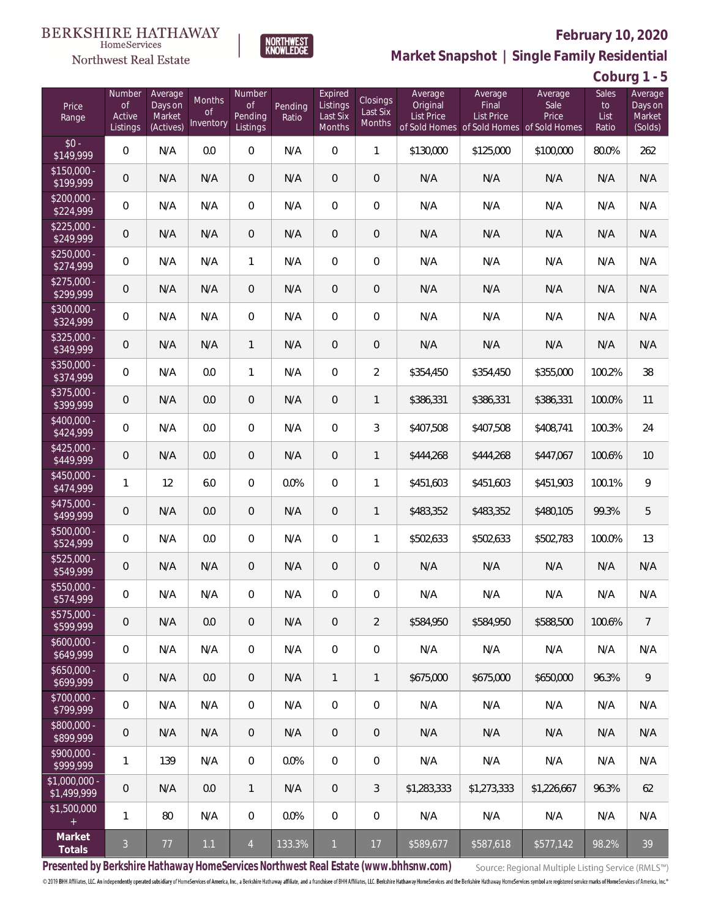

HomeServices

**Market Snapshot | Single Family Residential**

## **Coburg 1 - 5**

| Price<br>Range                | Number<br><b>of</b><br>Active<br>Listings | Average<br>Days on<br>Market<br>(Actives) | <b>Months</b><br>0f<br>Inventory | Number<br><b>of</b><br>Pending<br>Listings | Pending<br>Ratio | Expired<br>Listings<br>Last Six<br>Months | Closings<br>Last Six<br>Months | Average<br>Original<br><b>List Price</b> | Average<br>Final<br><b>List Price</b><br>of Sold Homes of Sold Homes of Sold Homes | Average<br>Sale<br>Price | <b>Sales</b><br>to<br>List<br>Ratio | Average<br>Days on<br>Market<br>(Solds) |
|-------------------------------|-------------------------------------------|-------------------------------------------|----------------------------------|--------------------------------------------|------------------|-------------------------------------------|--------------------------------|------------------------------------------|------------------------------------------------------------------------------------|--------------------------|-------------------------------------|-----------------------------------------|
| $$0 -$<br>\$149,999           | 0                                         | N/A                                       | 0.0                              | $\overline{0}$                             | N/A              | $\Omega$                                  | $\mathbf{1}$                   | \$130,000                                | \$125,000                                                                          | \$100,000                | 80.0%                               | 262                                     |
| $$150,000 -$<br>\$199,999     | 0                                         | N/A                                       | N/A                              | $\overline{0}$                             | N/A              | $\overline{0}$                            | $\overline{0}$                 | N/A                                      | N/A                                                                                | N/A                      | N/A                                 | N/A                                     |
| $$200,000 -$<br>\$224,999     | 0                                         | N/A                                       | N/A                              | $\overline{0}$                             | N/A              | $\Omega$                                  | $\overline{0}$                 | N/A                                      | N/A                                                                                | N/A                      | N/A                                 | N/A                                     |
| $$225,000 -$<br>\$249,999     | 0                                         | N/A                                       | N/A                              | $\overline{0}$                             | N/A              | $\overline{0}$                            | $\overline{0}$                 | N/A                                      | N/A                                                                                | N/A                      | N/A                                 | N/A                                     |
| $$250,000 -$<br>\$274,999     | 0                                         | N/A                                       | N/A                              | $\mathbf{1}$                               | N/A              | $\Omega$                                  | 0                              | N/A                                      | N/A                                                                                | N/A                      | N/A                                 | N/A                                     |
| $$275,000 -$<br>\$299,999     | 0                                         | N/A                                       | N/A                              | $\overline{0}$                             | N/A              | $\overline{0}$                            | $\mathbf 0$                    | N/A                                      | N/A                                                                                | N/A                      | N/A                                 | N/A                                     |
| \$300,000 -<br>\$324,999      | 0                                         | N/A                                       | N/A                              | $\overline{0}$                             | N/A              | $\overline{0}$                            | $\overline{0}$                 | N/A                                      | N/A                                                                                | N/A                      | N/A                                 | N/A                                     |
| $$325,000 -$<br>\$349,999     | 0                                         | N/A                                       | N/A                              | $\mathbf{1}$                               | N/A              | $\overline{0}$                            | $\mathbf 0$                    | N/A                                      | N/A                                                                                | N/A                      | N/A                                 | N/A                                     |
| \$350,000 -<br>\$374,999      | 0                                         | N/A                                       | 0.0                              | $\mathbf{1}$                               | N/A              | $\overline{0}$                            | $\overline{2}$                 | \$354,450                                | \$354,450                                                                          | \$355,000                | 100.2%                              | 38                                      |
| \$375,000 -<br>\$399,999      | 0                                         | N/A                                       | 0.0                              | $\overline{0}$                             | N/A              | $\overline{0}$                            | $\mathbf{1}$                   | \$386,331                                | \$386,331                                                                          | \$386,331                | 100.0%                              | 11                                      |
| \$400,000 -<br>\$424,999      | 0                                         | N/A                                       | 0.0                              | $\overline{0}$                             | N/A              | $\Omega$                                  | 3                              | \$407,508                                | \$407,508                                                                          | \$408,741                | 100.3%                              | 24                                      |
| \$425,000 -<br>\$449,999      | 0                                         | N/A                                       | 0.0                              | $\overline{0}$                             | N/A              | $\overline{0}$                            | $\mathbf{1}$                   | \$444,268                                | \$444,268                                                                          | \$447,067                | 100.6%                              | 10                                      |
| \$450,000 -<br>\$474,999      | $\mathbf{1}$                              | 12                                        | 6.0                              | $\overline{0}$                             | 0.0%             | $\Omega$                                  | $\mathbf{1}$                   | \$451,603                                | \$451,603                                                                          | \$451,903                | 100.1%                              | 9                                       |
| \$475,000 -<br>\$499,999      | 0                                         | N/A                                       | 0.0                              | $\overline{0}$                             | N/A              | $\overline{0}$                            | $\mathbf{1}$                   | \$483,352                                | \$483,352                                                                          | \$480,105                | 99.3%                               | 5                                       |
| \$500,000 -<br>\$524,999      | 0                                         | N/A                                       | 0.0                              | $\overline{0}$                             | N/A              | $\Omega$                                  | 1                              | \$502,633                                | \$502,633                                                                          | \$502,783                | 100.0%                              | 13                                      |
| \$525,000 -<br>\$549,999      | 0                                         | N/A                                       | N/A                              | $\overline{0}$                             | N/A              | $\overline{0}$                            | 0                              | N/A                                      | N/A                                                                                | N/A                      | N/A                                 | N/A                                     |
| \$550,000 -<br>\$574,999      | 0                                         | N/A                                       | N/A                              | $\overline{0}$                             | N/A              | 0                                         | 0                              | N/A                                      | N/A                                                                                | N/A                      | N/A                                 | N/A                                     |
| $$575,000 -$<br>\$599,999     | 0                                         | N/A                                       | 0.0                              | $\overline{0}$                             | N/A              | $\mathbf 0$                               | $\overline{2}$                 | \$584.950                                | \$584.950                                                                          | \$588,500                | 100.6%                              | $\overline{7}$                          |
| $$600,000 -$<br>\$649,999     | $\overline{0}$                            | N/A                                       | N/A                              | $\boldsymbol{0}$                           | N/A              | $\overline{0}$                            | 0                              | N/A                                      | N/A                                                                                | N/A                      | N/A                                 | N/A                                     |
| $$650,000 -$<br>5699,999      | 0                                         | N/A                                       | 0.0                              | $\overline{0}$                             | N/A              | $\mathbf{1}$                              | 1                              | \$675,000                                | \$675,000                                                                          | \$650,000                | 96.3%                               | 9                                       |
| \$700,000 -<br>\$799,999      | 0                                         | N/A                                       | N/A                              | $\boldsymbol{0}$                           | N/A              | $\mathbf 0$                               | 0                              | N/A                                      | N/A                                                                                | N/A                      | N/A                                 | N/A                                     |
| \$800,000 -<br>\$899,999      | 0                                         | N/A                                       | N/A                              | $\overline{0}$                             | N/A              | $\sqrt{2}$                                | 0                              | N/A                                      | N/A                                                                                | N/A                      | N/A                                 | N/A                                     |
| \$900,000 -<br>\$999,999      | 1                                         | 139                                       | N/A                              | $\boldsymbol{0}$                           | 0.0%             | $\overline{0}$                            | 0                              | N/A                                      | N/A                                                                                | N/A                      | N/A                                 | N/A                                     |
| $$1,000,000 -$<br>\$1,499,999 | 0                                         | N/A                                       | 0.0                              | $\overline{1}$                             | N/A              | $\theta$                                  | 3                              | \$1,283,333                              | \$1,273,333                                                                        | \$1,226,667              | 96.3%                               | 62                                      |
| \$1,500,000<br>$+$            | 1                                         | 80                                        | N/A                              | $\mathbf 0$                                | 0.0%             | $\mathbf 0$                               | 0                              | N/A                                      | N/A                                                                                | N/A                      | N/A                                 | N/A                                     |
| Market<br>Totals              | $\overline{3}$                            | $77 \,$                                   | 1.1                              | $\overline{4}$                             | 133.3%           | $\mathbf{1}$                              | 17                             | \$589,677                                | \$587,618                                                                          | \$577,142                | 98.2%                               | 39                                      |

**Presented by Berkshire Hathaway HomeServices Northwest Real Estate (www.bhhsnw.com)**

Source: Regional Multiple Listing Service (RMLS™)